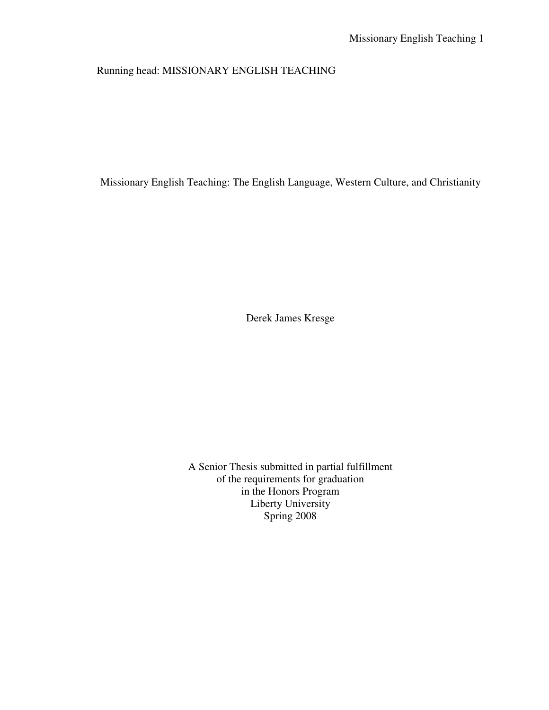# Running head: MISSIONARY ENGLISH TEACHING

Missionary English Teaching: The English Language, Western Culture, and Christianity

Derek James Kresge

A Senior Thesis submitted in partial fulfillment of the requirements for graduation in the Honors Program Liberty University Spring 2008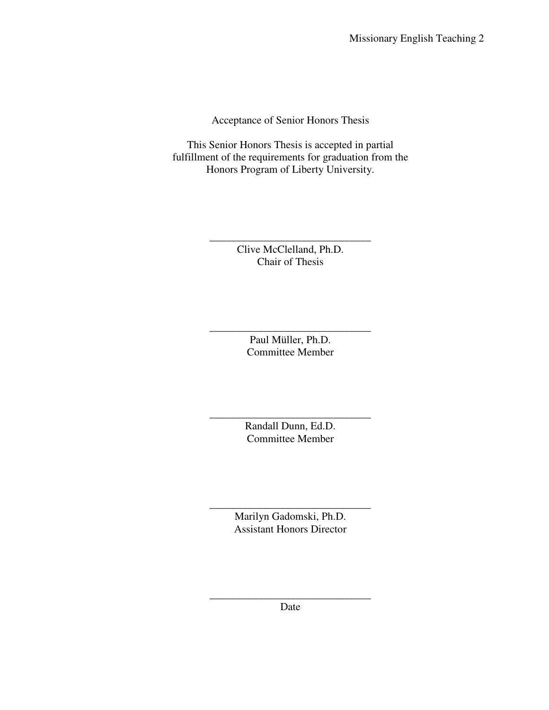Acceptance of Senior Honors Thesis

This Senior Honors Thesis is accepted in partial fulfillment of the requirements for graduation from the Honors Program of Liberty University.

> Clive McClelland, Ph.D. Chair of Thesis

\_\_\_\_\_\_\_\_\_\_\_\_\_\_\_\_\_\_\_\_\_\_\_\_\_\_\_\_\_\_

\_\_\_\_\_\_\_\_\_\_\_\_\_\_\_\_\_\_\_\_\_\_\_\_\_\_\_\_\_\_ Paul Müller, Ph.D. Committee Member

\_\_\_\_\_\_\_\_\_\_\_\_\_\_\_\_\_\_\_\_\_\_\_\_\_\_\_\_\_\_ Randall Dunn, Ed.D. Committee Member

\_\_\_\_\_\_\_\_\_\_\_\_\_\_\_\_\_\_\_\_\_\_\_\_\_\_\_\_\_\_ Marilyn Gadomski, Ph.D. Assistant Honors Director

\_\_\_\_\_\_\_\_\_\_\_\_\_\_\_\_\_\_\_\_\_\_\_\_\_\_\_\_\_\_ Date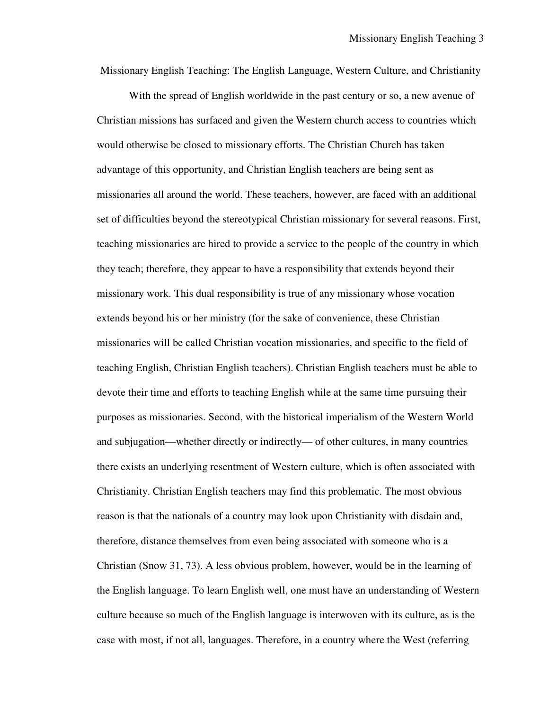Missionary English Teaching: The English Language, Western Culture, and Christianity

 With the spread of English worldwide in the past century or so, a new avenue of Christian missions has surfaced and given the Western church access to countries which would otherwise be closed to missionary efforts. The Christian Church has taken advantage of this opportunity, and Christian English teachers are being sent as missionaries all around the world. These teachers, however, are faced with an additional set of difficulties beyond the stereotypical Christian missionary for several reasons. First, teaching missionaries are hired to provide a service to the people of the country in which they teach; therefore, they appear to have a responsibility that extends beyond their missionary work. This dual responsibility is true of any missionary whose vocation extends beyond his or her ministry (for the sake of convenience, these Christian missionaries will be called Christian vocation missionaries, and specific to the field of teaching English, Christian English teachers). Christian English teachers must be able to devote their time and efforts to teaching English while at the same time pursuing their purposes as missionaries. Second, with the historical imperialism of the Western World and subjugation—whether directly or indirectly— of other cultures, in many countries there exists an underlying resentment of Western culture, which is often associated with Christianity. Christian English teachers may find this problematic. The most obvious reason is that the nationals of a country may look upon Christianity with disdain and, therefore, distance themselves from even being associated with someone who is a Christian (Snow 31, 73). A less obvious problem, however, would be in the learning of the English language. To learn English well, one must have an understanding of Western culture because so much of the English language is interwoven with its culture, as is the case with most, if not all, languages. Therefore, in a country where the West (referring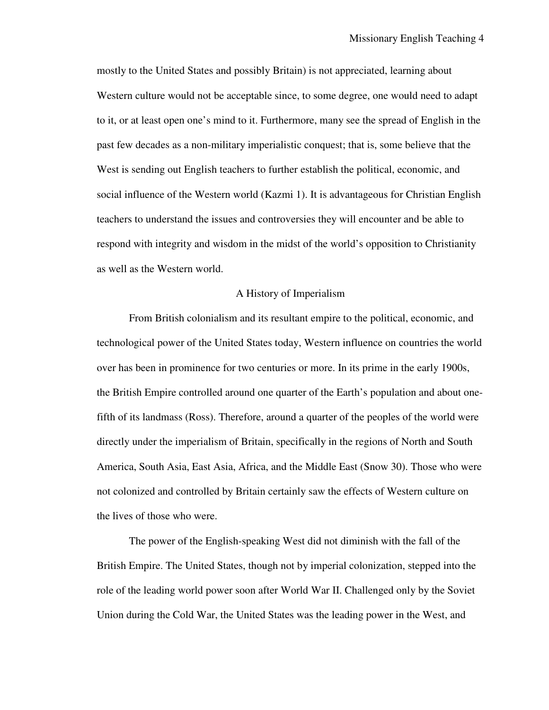mostly to the United States and possibly Britain) is not appreciated, learning about Western culture would not be acceptable since, to some degree, one would need to adapt to it, or at least open one's mind to it. Furthermore, many see the spread of English in the past few decades as a non-military imperialistic conquest; that is, some believe that the West is sending out English teachers to further establish the political, economic, and social influence of the Western world (Kazmi 1). It is advantageous for Christian English teachers to understand the issues and controversies they will encounter and be able to respond with integrity and wisdom in the midst of the world's opposition to Christianity as well as the Western world.

### A History of Imperialism

 From British colonialism and its resultant empire to the political, economic, and technological power of the United States today, Western influence on countries the world over has been in prominence for two centuries or more. In its prime in the early 1900s, the British Empire controlled around one quarter of the Earth's population and about onefifth of its landmass (Ross). Therefore, around a quarter of the peoples of the world were directly under the imperialism of Britain, specifically in the regions of North and South America, South Asia, East Asia, Africa, and the Middle East (Snow 30). Those who were not colonized and controlled by Britain certainly saw the effects of Western culture on the lives of those who were.

 The power of the English-speaking West did not diminish with the fall of the British Empire. The United States, though not by imperial colonization, stepped into the role of the leading world power soon after World War II. Challenged only by the Soviet Union during the Cold War, the United States was the leading power in the West, and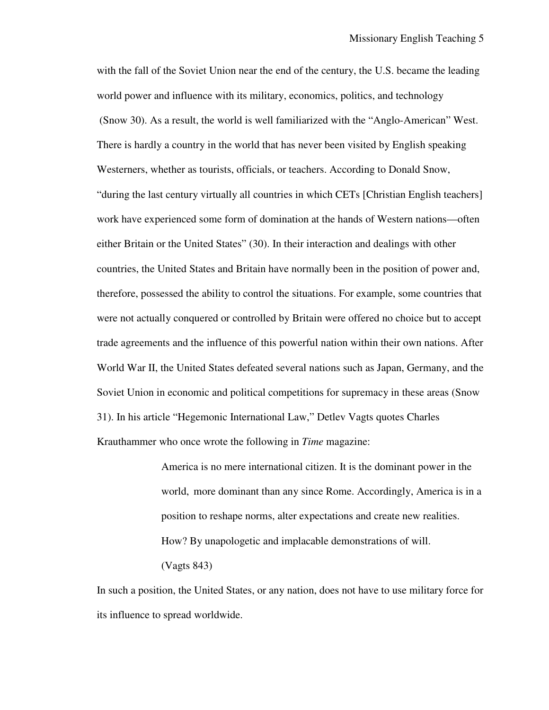with the fall of the Soviet Union near the end of the century, the U.S. became the leading world power and influence with its military, economics, politics, and technology (Snow 30). As a result, the world is well familiarized with the "Anglo-American" West. There is hardly a country in the world that has never been visited by English speaking Westerners, whether as tourists, officials, or teachers. According to Donald Snow, "during the last century virtually all countries in which CETs [Christian English teachers] work have experienced some form of domination at the hands of Western nations—often either Britain or the United States" (30). In their interaction and dealings with other countries, the United States and Britain have normally been in the position of power and, therefore, possessed the ability to control the situations. For example, some countries that were not actually conquered or controlled by Britain were offered no choice but to accept trade agreements and the influence of this powerful nation within their own nations. After World War II, the United States defeated several nations such as Japan, Germany, and the Soviet Union in economic and political competitions for supremacy in these areas (Snow 31). In his article "Hegemonic International Law," Detlev Vagts quotes Charles Krauthammer who once wrote the following in *Time* magazine:

> America is no mere international citizen. It is the dominant power in the world, more dominant than any since Rome. Accordingly, America is in a position to reshape norms, alter expectations and create new realities. How? By unapologetic and implacable demonstrations of will. (Vagts 843)

In such a position, the United States, or any nation, does not have to use military force for its influence to spread worldwide.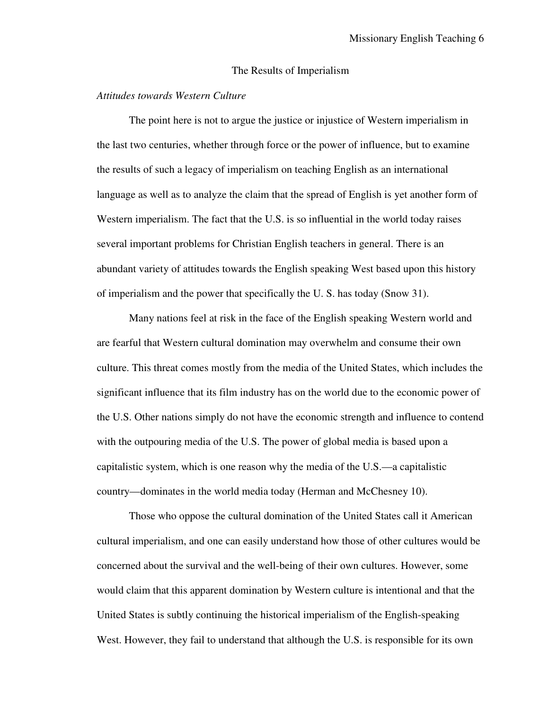#### The Results of Imperialism

### *Attitudes towards Western Culture*

 The point here is not to argue the justice or injustice of Western imperialism in the last two centuries, whether through force or the power of influence, but to examine the results of such a legacy of imperialism on teaching English as an international language as well as to analyze the claim that the spread of English is yet another form of Western imperialism. The fact that the U.S. is so influential in the world today raises several important problems for Christian English teachers in general. There is an abundant variety of attitudes towards the English speaking West based upon this history of imperialism and the power that specifically the U. S. has today (Snow 31).

 Many nations feel at risk in the face of the English speaking Western world and are fearful that Western cultural domination may overwhelm and consume their own culture. This threat comes mostly from the media of the United States, which includes the significant influence that its film industry has on the world due to the economic power of the U.S. Other nations simply do not have the economic strength and influence to contend with the outpouring media of the U.S. The power of global media is based upon a capitalistic system, which is one reason why the media of the U.S.—a capitalistic country—dominates in the world media today (Herman and McChesney 10).

 Those who oppose the cultural domination of the United States call it American cultural imperialism, and one can easily understand how those of other cultures would be concerned about the survival and the well-being of their own cultures. However, some would claim that this apparent domination by Western culture is intentional and that the United States is subtly continuing the historical imperialism of the English-speaking West. However, they fail to understand that although the U.S. is responsible for its own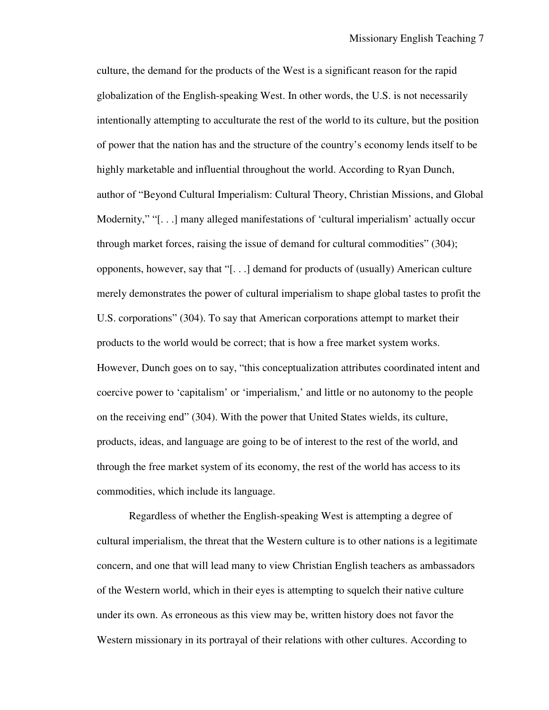culture, the demand for the products of the West is a significant reason for the rapid globalization of the English-speaking West. In other words, the U.S. is not necessarily intentionally attempting to acculturate the rest of the world to its culture, but the position of power that the nation has and the structure of the country's economy lends itself to be highly marketable and influential throughout the world. According to Ryan Dunch, author of "Beyond Cultural Imperialism: Cultural Theory, Christian Missions, and Global Modernity," "[...] many alleged manifestations of 'cultural imperialism' actually occur through market forces, raising the issue of demand for cultural commodities" (304); opponents, however, say that "[. . .] demand for products of (usually) American culture merely demonstrates the power of cultural imperialism to shape global tastes to profit the U.S. corporations" (304). To say that American corporations attempt to market their products to the world would be correct; that is how a free market system works. However, Dunch goes on to say, "this conceptualization attributes coordinated intent and coercive power to 'capitalism' or 'imperialism,' and little or no autonomy to the people on the receiving end" (304). With the power that United States wields, its culture, products, ideas, and language are going to be of interest to the rest of the world, and through the free market system of its economy, the rest of the world has access to its commodities, which include its language.

 Regardless of whether the English-speaking West is attempting a degree of cultural imperialism, the threat that the Western culture is to other nations is a legitimate concern, and one that will lead many to view Christian English teachers as ambassadors of the Western world, which in their eyes is attempting to squelch their native culture under its own. As erroneous as this view may be, written history does not favor the Western missionary in its portrayal of their relations with other cultures. According to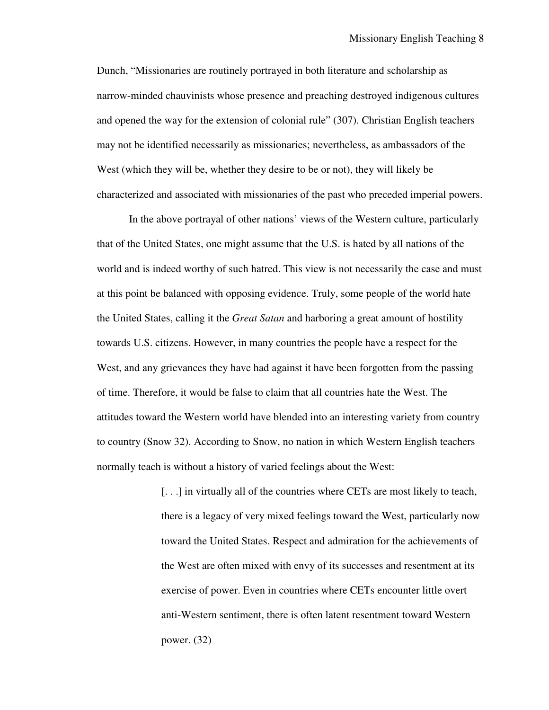Dunch, "Missionaries are routinely portrayed in both literature and scholarship as narrow-minded chauvinists whose presence and preaching destroyed indigenous cultures and opened the way for the extension of colonial rule" (307). Christian English teachers may not be identified necessarily as missionaries; nevertheless, as ambassadors of the West (which they will be, whether they desire to be or not), they will likely be characterized and associated with missionaries of the past who preceded imperial powers.

 In the above portrayal of other nations' views of the Western culture, particularly that of the United States, one might assume that the U.S. is hated by all nations of the world and is indeed worthy of such hatred. This view is not necessarily the case and must at this point be balanced with opposing evidence. Truly, some people of the world hate the United States, calling it the *Great Satan* and harboring a great amount of hostility towards U.S. citizens. However, in many countries the people have a respect for the West, and any grievances they have had against it have been forgotten from the passing of time. Therefore, it would be false to claim that all countries hate the West. The attitudes toward the Western world have blended into an interesting variety from country to country (Snow 32). According to Snow, no nation in which Western English teachers normally teach is without a history of varied feelings about the West:

> [...] in virtually all of the countries where CETs are most likely to teach, there is a legacy of very mixed feelings toward the West, particularly now toward the United States. Respect and admiration for the achievements of the West are often mixed with envy of its successes and resentment at its exercise of power. Even in countries where CETs encounter little overt anti-Western sentiment, there is often latent resentment toward Western power. (32)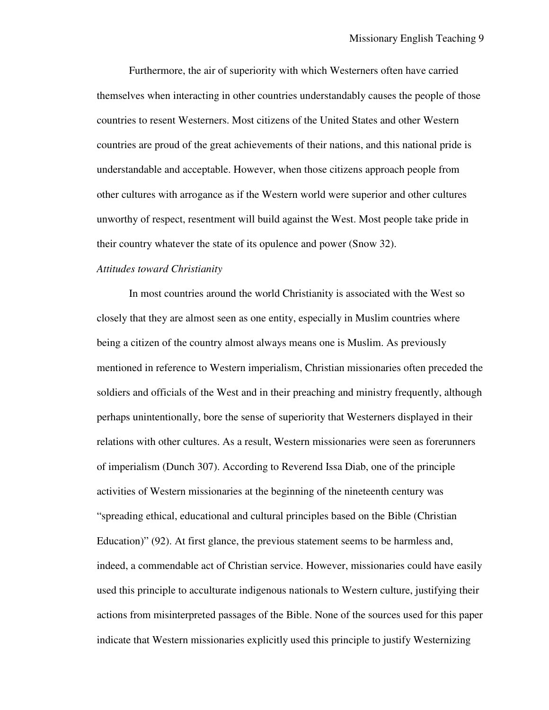Furthermore, the air of superiority with which Westerners often have carried themselves when interacting in other countries understandably causes the people of those countries to resent Westerners. Most citizens of the United States and other Western countries are proud of the great achievements of their nations, and this national pride is understandable and acceptable. However, when those citizens approach people from other cultures with arrogance as if the Western world were superior and other cultures unworthy of respect, resentment will build against the West. Most people take pride in their country whatever the state of its opulence and power (Snow 32).

### *Attitudes toward Christianity*

 In most countries around the world Christianity is associated with the West so closely that they are almost seen as one entity, especially in Muslim countries where being a citizen of the country almost always means one is Muslim. As previously mentioned in reference to Western imperialism, Christian missionaries often preceded the soldiers and officials of the West and in their preaching and ministry frequently, although perhaps unintentionally, bore the sense of superiority that Westerners displayed in their relations with other cultures. As a result, Western missionaries were seen as forerunners of imperialism (Dunch 307). According to Reverend Issa Diab, one of the principle activities of Western missionaries at the beginning of the nineteenth century was "spreading ethical, educational and cultural principles based on the Bible (Christian Education)" (92). At first glance, the previous statement seems to be harmless and, indeed, a commendable act of Christian service. However, missionaries could have easily used this principle to acculturate indigenous nationals to Western culture, justifying their actions from misinterpreted passages of the Bible. None of the sources used for this paper indicate that Western missionaries explicitly used this principle to justify Westernizing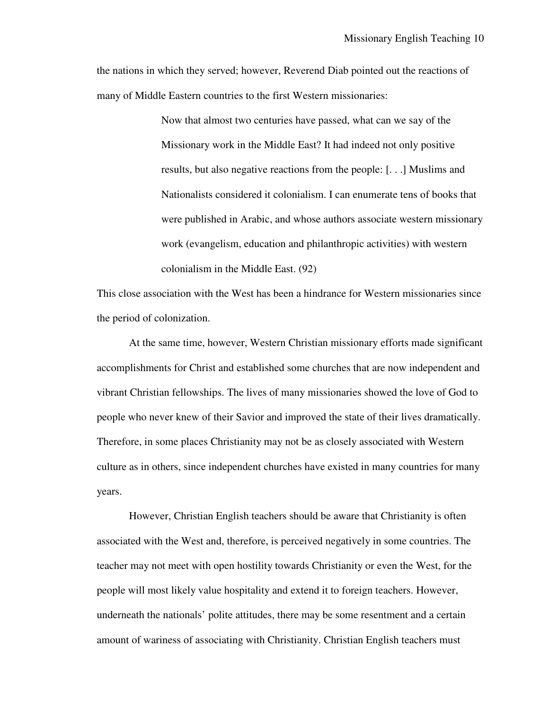the nations in which they served; however, Reverend Diab pointed out the reactions of many of Middle Eastern countries to the first Western missionaries:

> Now that almost two centuries have passed, what can we say of the Missionary work in the Middle East? It had indeed not only positive results, but also negative reactions from the people: [. . .] Muslims and Nationalists considered it colonialism. I can enumerate tens of books that were published in Arabic, and whose authors associate western missionary work (evangelism, education and philanthropic activities) with western colonialism in the Middle East. (92)

This close association with the West has been a hindrance for Western missionaries since the period of colonization.

 At the same time, however, Western Christian missionary efforts made significant accomplishments for Christ and established some churches that are now independent and vibrant Christian fellowships. The lives of many missionaries showed the love of God to people who never knew of their Savior and improved the state of their lives dramatically. Therefore, in some places Christianity may not be as closely associated with Western culture as in others, since independent churches have existed in many countries for many years.

 However, Christian English teachers should be aware that Christianity is often associated with the West and, therefore, is perceived negatively in some countries. The teacher may not meet with open hostility towards Christianity or even the West, for the people will most likely value hospitality and extend it to foreign teachers. However, underneath the nationals' polite attitudes, there may be some resentment and a certain amount of wariness of associating with Christianity. Christian English teachers must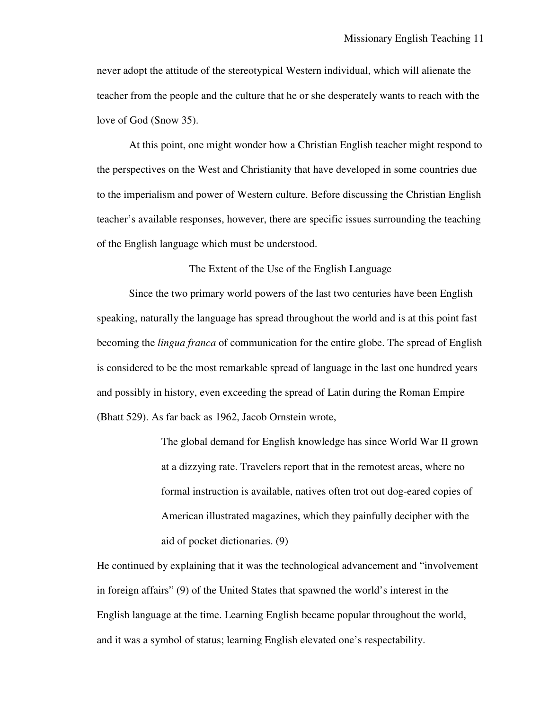never adopt the attitude of the stereotypical Western individual, which will alienate the teacher from the people and the culture that he or she desperately wants to reach with the love of God (Snow 35).

 At this point, one might wonder how a Christian English teacher might respond to the perspectives on the West and Christianity that have developed in some countries due to the imperialism and power of Western culture. Before discussing the Christian English teacher's available responses, however, there are specific issues surrounding the teaching of the English language which must be understood.

### The Extent of the Use of the English Language

 Since the two primary world powers of the last two centuries have been English speaking, naturally the language has spread throughout the world and is at this point fast becoming the *lingua franca* of communication for the entire globe. The spread of English is considered to be the most remarkable spread of language in the last one hundred years and possibly in history, even exceeding the spread of Latin during the Roman Empire (Bhatt 529). As far back as 1962, Jacob Ornstein wrote,

> The global demand for English knowledge has since World War II grown at a dizzying rate. Travelers report that in the remotest areas, where no formal instruction is available, natives often trot out dog-eared copies of American illustrated magazines, which they painfully decipher with the aid of pocket dictionaries. (9)

He continued by explaining that it was the technological advancement and "involvement in foreign affairs" (9) of the United States that spawned the world's interest in the English language at the time. Learning English became popular throughout the world, and it was a symbol of status; learning English elevated one's respectability.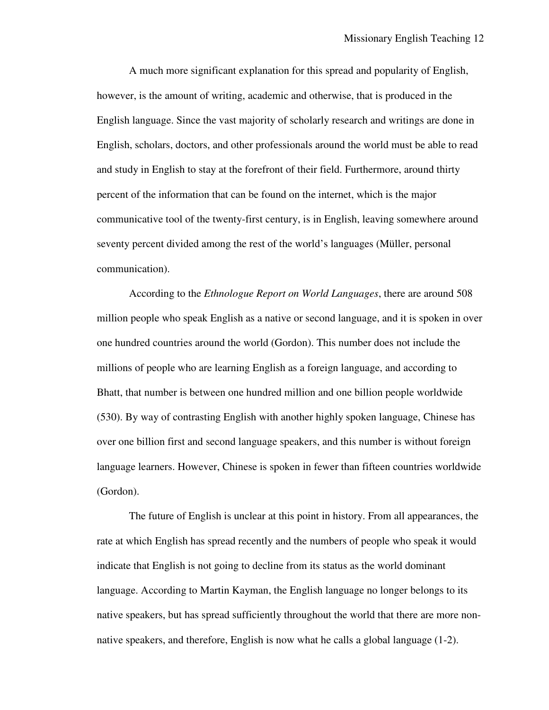A much more significant explanation for this spread and popularity of English, however, is the amount of writing, academic and otherwise, that is produced in the English language. Since the vast majority of scholarly research and writings are done in English, scholars, doctors, and other professionals around the world must be able to read and study in English to stay at the forefront of their field. Furthermore, around thirty percent of the information that can be found on the internet, which is the major communicative tool of the twenty-first century, is in English, leaving somewhere around seventy percent divided among the rest of the world's languages (Müller, personal communication).

 According to the *Ethnologue Report on World Languages*, there are around 508 million people who speak English as a native or second language, and it is spoken in over one hundred countries around the world (Gordon). This number does not include the millions of people who are learning English as a foreign language, and according to Bhatt, that number is between one hundred million and one billion people worldwide (530). By way of contrasting English with another highly spoken language, Chinese has over one billion first and second language speakers, and this number is without foreign language learners. However, Chinese is spoken in fewer than fifteen countries worldwide (Gordon).

 The future of English is unclear at this point in history. From all appearances, the rate at which English has spread recently and the numbers of people who speak it would indicate that English is not going to decline from its status as the world dominant language. According to Martin Kayman, the English language no longer belongs to its native speakers, but has spread sufficiently throughout the world that there are more nonnative speakers, and therefore, English is now what he calls a global language (1-2).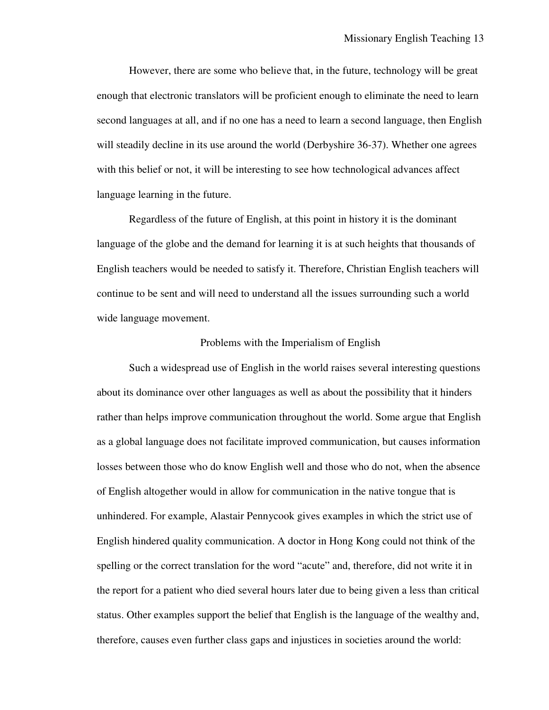However, there are some who believe that, in the future, technology will be great enough that electronic translators will be proficient enough to eliminate the need to learn second languages at all, and if no one has a need to learn a second language, then English will steadily decline in its use around the world (Derbyshire 36-37). Whether one agrees with this belief or not, it will be interesting to see how technological advances affect language learning in the future.

 Regardless of the future of English, at this point in history it is the dominant language of the globe and the demand for learning it is at such heights that thousands of English teachers would be needed to satisfy it. Therefore, Christian English teachers will continue to be sent and will need to understand all the issues surrounding such a world wide language movement.

#### Problems with the Imperialism of English

 Such a widespread use of English in the world raises several interesting questions about its dominance over other languages as well as about the possibility that it hinders rather than helps improve communication throughout the world. Some argue that English as a global language does not facilitate improved communication, but causes information losses between those who do know English well and those who do not, when the absence of English altogether would in allow for communication in the native tongue that is unhindered. For example, Alastair Pennycook gives examples in which the strict use of English hindered quality communication. A doctor in Hong Kong could not think of the spelling or the correct translation for the word "acute" and, therefore, did not write it in the report for a patient who died several hours later due to being given a less than critical status. Other examples support the belief that English is the language of the wealthy and, therefore, causes even further class gaps and injustices in societies around the world: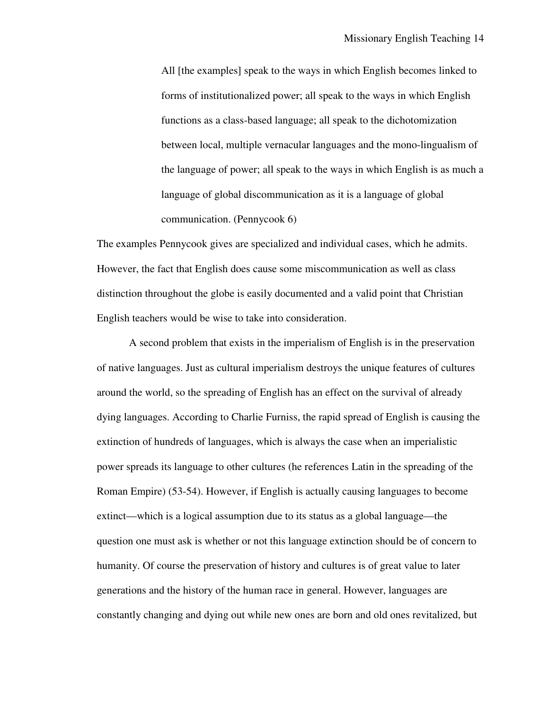All [the examples] speak to the ways in which English becomes linked to forms of institutionalized power; all speak to the ways in which English functions as a class-based language; all speak to the dichotomization between local, multiple vernacular languages and the mono-lingualism of the language of power; all speak to the ways in which English is as much a language of global discommunication as it is a language of global communication. (Pennycook 6)

The examples Pennycook gives are specialized and individual cases, which he admits. However, the fact that English does cause some miscommunication as well as class distinction throughout the globe is easily documented and a valid point that Christian English teachers would be wise to take into consideration.

 A second problem that exists in the imperialism of English is in the preservation of native languages. Just as cultural imperialism destroys the unique features of cultures around the world, so the spreading of English has an effect on the survival of already dying languages. According to Charlie Furniss, the rapid spread of English is causing the extinction of hundreds of languages, which is always the case when an imperialistic power spreads its language to other cultures (he references Latin in the spreading of the Roman Empire) (53-54). However, if English is actually causing languages to become extinct—which is a logical assumption due to its status as a global language—the question one must ask is whether or not this language extinction should be of concern to humanity. Of course the preservation of history and cultures is of great value to later generations and the history of the human race in general. However, languages are constantly changing and dying out while new ones are born and old ones revitalized, but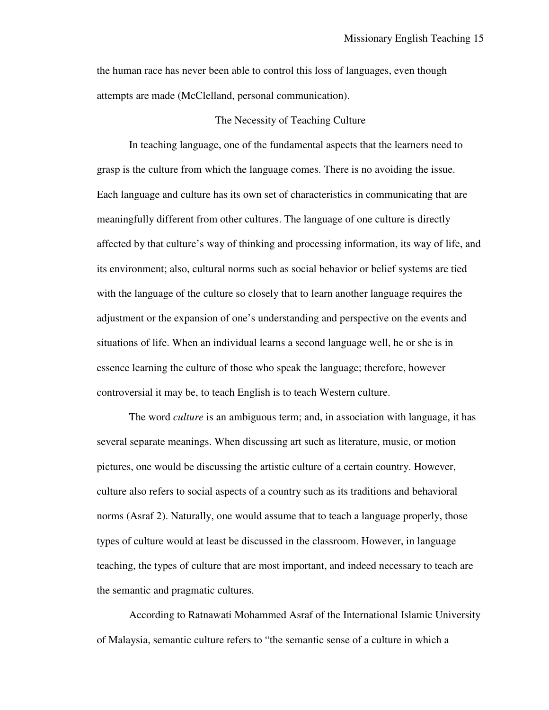the human race has never been able to control this loss of languages, even though attempts are made (McClelland, personal communication).

#### The Necessity of Teaching Culture

In teaching language, one of the fundamental aspects that the learners need to grasp is the culture from which the language comes. There is no avoiding the issue. Each language and culture has its own set of characteristics in communicating that are meaningfully different from other cultures. The language of one culture is directly affected by that culture's way of thinking and processing information, its way of life, and its environment; also, cultural norms such as social behavior or belief systems are tied with the language of the culture so closely that to learn another language requires the adjustment or the expansion of one's understanding and perspective on the events and situations of life. When an individual learns a second language well, he or she is in essence learning the culture of those who speak the language; therefore, however controversial it may be, to teach English is to teach Western culture.

 The word *culture* is an ambiguous term; and, in association with language, it has several separate meanings. When discussing art such as literature, music, or motion pictures, one would be discussing the artistic culture of a certain country. However, culture also refers to social aspects of a country such as its traditions and behavioral norms (Asraf 2). Naturally, one would assume that to teach a language properly, those types of culture would at least be discussed in the classroom. However, in language teaching, the types of culture that are most important, and indeed necessary to teach are the semantic and pragmatic cultures.

 According to Ratnawati Mohammed Asraf of the International Islamic University of Malaysia, semantic culture refers to "the semantic sense of a culture in which a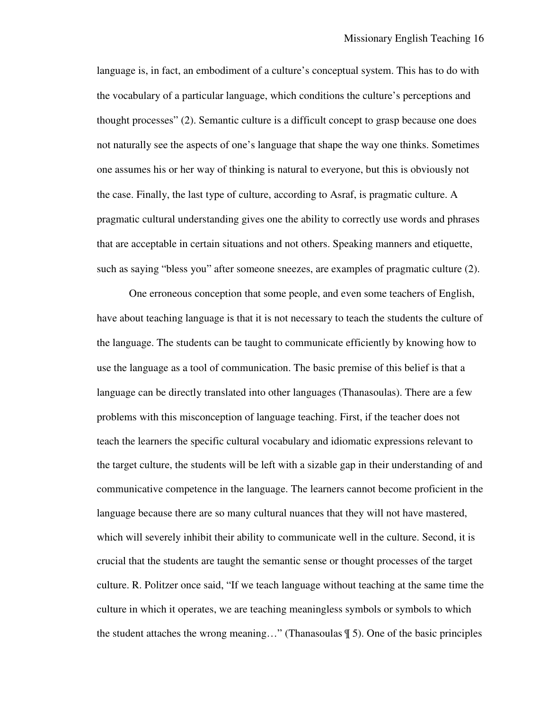language is, in fact, an embodiment of a culture's conceptual system. This has to do with the vocabulary of a particular language, which conditions the culture's perceptions and thought processes" (2). Semantic culture is a difficult concept to grasp because one does not naturally see the aspects of one's language that shape the way one thinks. Sometimes one assumes his or her way of thinking is natural to everyone, but this is obviously not the case. Finally, the last type of culture, according to Asraf, is pragmatic culture. A pragmatic cultural understanding gives one the ability to correctly use words and phrases that are acceptable in certain situations and not others. Speaking manners and etiquette, such as saying "bless you" after someone sneezes, are examples of pragmatic culture (2).

 One erroneous conception that some people, and even some teachers of English, have about teaching language is that it is not necessary to teach the students the culture of the language. The students can be taught to communicate efficiently by knowing how to use the language as a tool of communication. The basic premise of this belief is that a language can be directly translated into other languages (Thanasoulas). There are a few problems with this misconception of language teaching. First, if the teacher does not teach the learners the specific cultural vocabulary and idiomatic expressions relevant to the target culture, the students will be left with a sizable gap in their understanding of and communicative competence in the language. The learners cannot become proficient in the language because there are so many cultural nuances that they will not have mastered, which will severely inhibit their ability to communicate well in the culture. Second, it is crucial that the students are taught the semantic sense or thought processes of the target culture. R. Politzer once said, "If we teach language without teaching at the same time the culture in which it operates, we are teaching meaningless symbols or symbols to which the student attaches the wrong meaning…" (Thanasoulas ¶ 5). One of the basic principles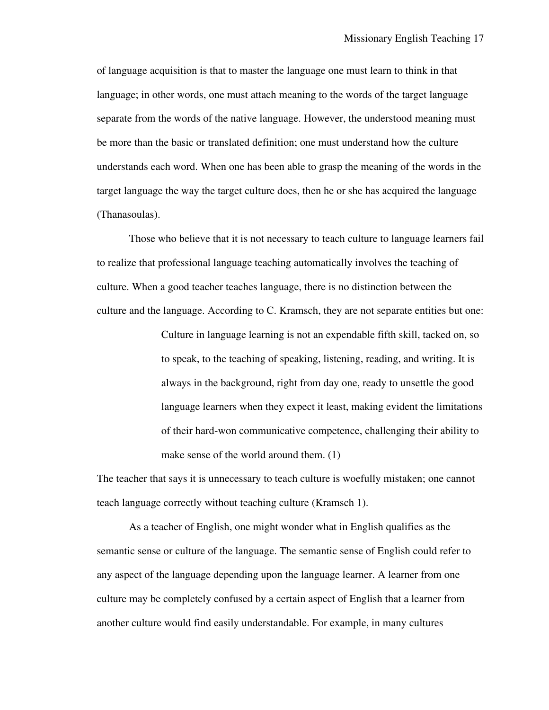of language acquisition is that to master the language one must learn to think in that language; in other words, one must attach meaning to the words of the target language separate from the words of the native language. However, the understood meaning must be more than the basic or translated definition; one must understand how the culture understands each word. When one has been able to grasp the meaning of the words in the target language the way the target culture does, then he or she has acquired the language (Thanasoulas).

 Those who believe that it is not necessary to teach culture to language learners fail to realize that professional language teaching automatically involves the teaching of culture. When a good teacher teaches language, there is no distinction between the culture and the language. According to C. Kramsch, they are not separate entities but one:

> Culture in language learning is not an expendable fifth skill, tacked on, so to speak, to the teaching of speaking, listening, reading, and writing. It is always in the background, right from day one, ready to unsettle the good language learners when they expect it least, making evident the limitations of their hard-won communicative competence, challenging their ability to make sense of the world around them. (1)

The teacher that says it is unnecessary to teach culture is woefully mistaken; one cannot teach language correctly without teaching culture (Kramsch 1).

 As a teacher of English, one might wonder what in English qualifies as the semantic sense or culture of the language. The semantic sense of English could refer to any aspect of the language depending upon the language learner. A learner from one culture may be completely confused by a certain aspect of English that a learner from another culture would find easily understandable. For example, in many cultures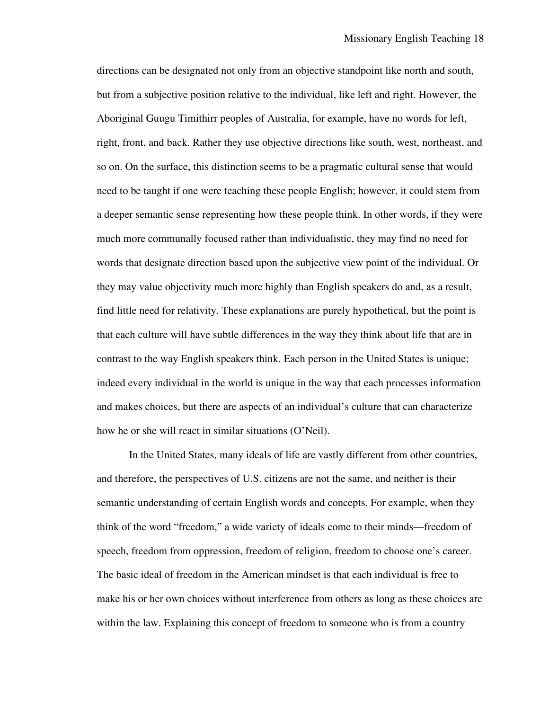directions can be designated not only from an objective standpoint like north and south, but from a subjective position relative to the individual, like left and right. However, the Aboriginal Guugu Timithirr peoples of Australia, for example, have no words for left, right, front, and back. Rather they use objective directions like south, west, northeast, and so on. On the surface, this distinction seems to be a pragmatic cultural sense that would need to be taught if one were teaching these people English; however, it could stem from a deeper semantic sense representing how these people think. In other words, if they were much more communally focused rather than individualistic, they may find no need for words that designate direction based upon the subjective view point of the individual. Or they may value objectivity much more highly than English speakers do and, as a result, find little need for relativity. These explanations are purely hypothetical, but the point is that each culture will have subtle differences in the way they think about life that are in contrast to the way English speakers think. Each person in the United States is unique; indeed every individual in the world is unique in the way that each processes information and makes choices, but there are aspects of an individual's culture that can characterize how he or she will react in similar situations (O'Neil).

 In the United States, many ideals of life are vastly different from other countries, and therefore, the perspectives of U.S. citizens are not the same, and neither is their semantic understanding of certain English words and concepts. For example, when they think of the word "freedom," a wide variety of ideals come to their minds—freedom of speech, freedom from oppression, freedom of religion, freedom to choose one's career. The basic ideal of freedom in the American mindset is that each individual is free to make his or her own choices without interference from others as long as these choices are within the law. Explaining this concept of freedom to someone who is from a country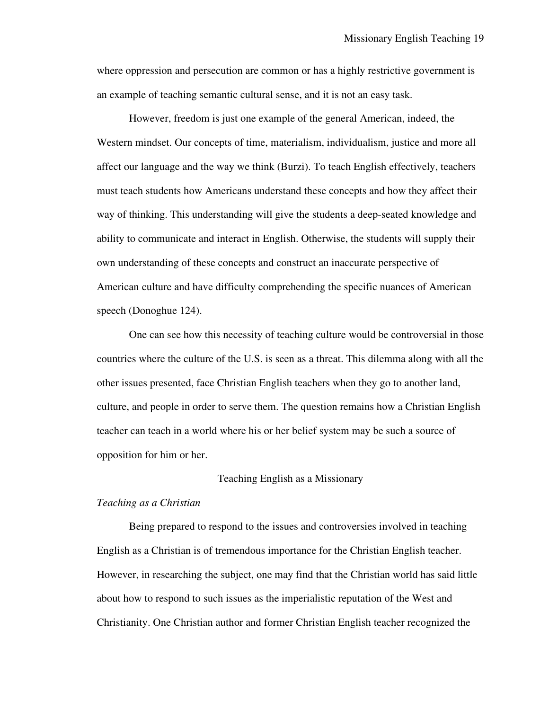where oppression and persecution are common or has a highly restrictive government is an example of teaching semantic cultural sense, and it is not an easy task.

 However, freedom is just one example of the general American, indeed, the Western mindset. Our concepts of time, materialism, individualism, justice and more all affect our language and the way we think (Burzi). To teach English effectively, teachers must teach students how Americans understand these concepts and how they affect their way of thinking. This understanding will give the students a deep-seated knowledge and ability to communicate and interact in English. Otherwise, the students will supply their own understanding of these concepts and construct an inaccurate perspective of American culture and have difficulty comprehending the specific nuances of American speech (Donoghue 124).

 One can see how this necessity of teaching culture would be controversial in those countries where the culture of the U.S. is seen as a threat. This dilemma along with all the other issues presented, face Christian English teachers when they go to another land, culture, and people in order to serve them. The question remains how a Christian English teacher can teach in a world where his or her belief system may be such a source of opposition for him or her.

### Teaching English as a Missionary

### *Teaching as a Christian*

Being prepared to respond to the issues and controversies involved in teaching English as a Christian is of tremendous importance for the Christian English teacher. However, in researching the subject, one may find that the Christian world has said little about how to respond to such issues as the imperialistic reputation of the West and Christianity. One Christian author and former Christian English teacher recognized the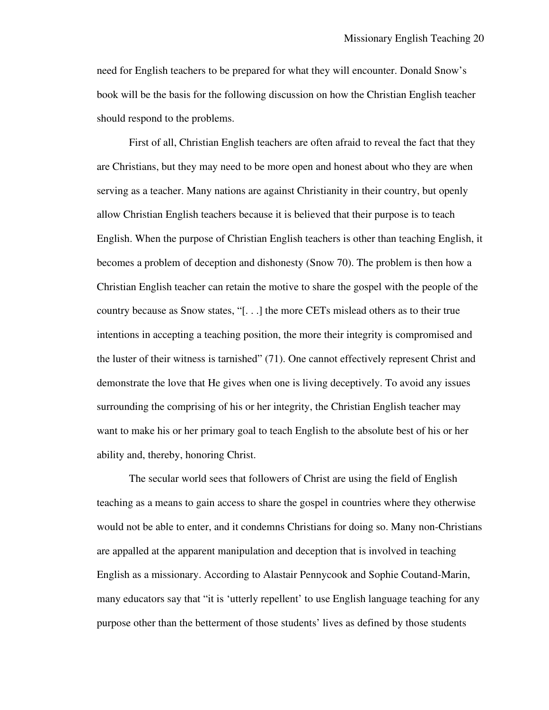need for English teachers to be prepared for what they will encounter. Donald Snow's book will be the basis for the following discussion on how the Christian English teacher should respond to the problems.

First of all, Christian English teachers are often afraid to reveal the fact that they are Christians, but they may need to be more open and honest about who they are when serving as a teacher. Many nations are against Christianity in their country, but openly allow Christian English teachers because it is believed that their purpose is to teach English. When the purpose of Christian English teachers is other than teaching English, it becomes a problem of deception and dishonesty (Snow 70). The problem is then how a Christian English teacher can retain the motive to share the gospel with the people of the country because as Snow states, "[. . .] the more CETs mislead others as to their true intentions in accepting a teaching position, the more their integrity is compromised and the luster of their witness is tarnished" (71). One cannot effectively represent Christ and demonstrate the love that He gives when one is living deceptively. To avoid any issues surrounding the comprising of his or her integrity, the Christian English teacher may want to make his or her primary goal to teach English to the absolute best of his or her ability and, thereby, honoring Christ.

The secular world sees that followers of Christ are using the field of English teaching as a means to gain access to share the gospel in countries where they otherwise would not be able to enter, and it condemns Christians for doing so. Many non-Christians are appalled at the apparent manipulation and deception that is involved in teaching English as a missionary. According to Alastair Pennycook and Sophie Coutand-Marin, many educators say that "it is 'utterly repellent' to use English language teaching for any purpose other than the betterment of those students' lives as defined by those students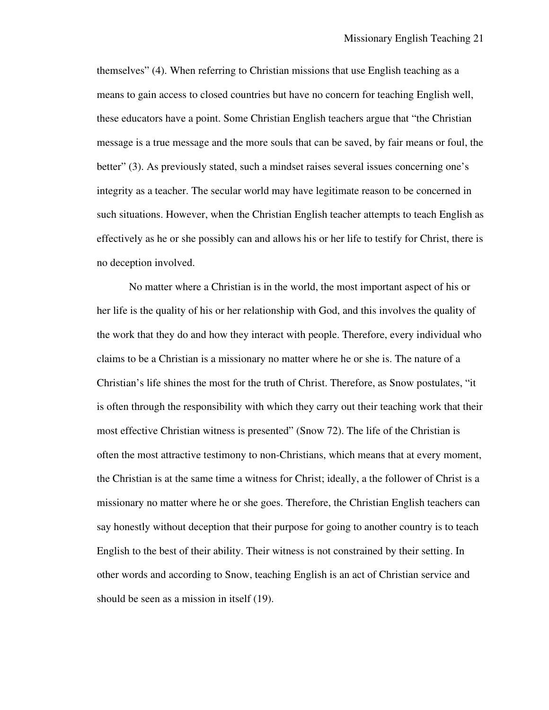themselves" (4). When referring to Christian missions that use English teaching as a means to gain access to closed countries but have no concern for teaching English well, these educators have a point. Some Christian English teachers argue that "the Christian message is a true message and the more souls that can be saved, by fair means or foul, the better" (3). As previously stated, such a mindset raises several issues concerning one's integrity as a teacher. The secular world may have legitimate reason to be concerned in such situations. However, when the Christian English teacher attempts to teach English as effectively as he or she possibly can and allows his or her life to testify for Christ, there is no deception involved.

 No matter where a Christian is in the world, the most important aspect of his or her life is the quality of his or her relationship with God, and this involves the quality of the work that they do and how they interact with people. Therefore, every individual who claims to be a Christian is a missionary no matter where he or she is. The nature of a Christian's life shines the most for the truth of Christ. Therefore, as Snow postulates, "it is often through the responsibility with which they carry out their teaching work that their most effective Christian witness is presented" (Snow 72). The life of the Christian is often the most attractive testimony to non-Christians, which means that at every moment, the Christian is at the same time a witness for Christ; ideally, a the follower of Christ is a missionary no matter where he or she goes. Therefore, the Christian English teachers can say honestly without deception that their purpose for going to another country is to teach English to the best of their ability. Their witness is not constrained by their setting. In other words and according to Snow, teaching English is an act of Christian service and should be seen as a mission in itself (19).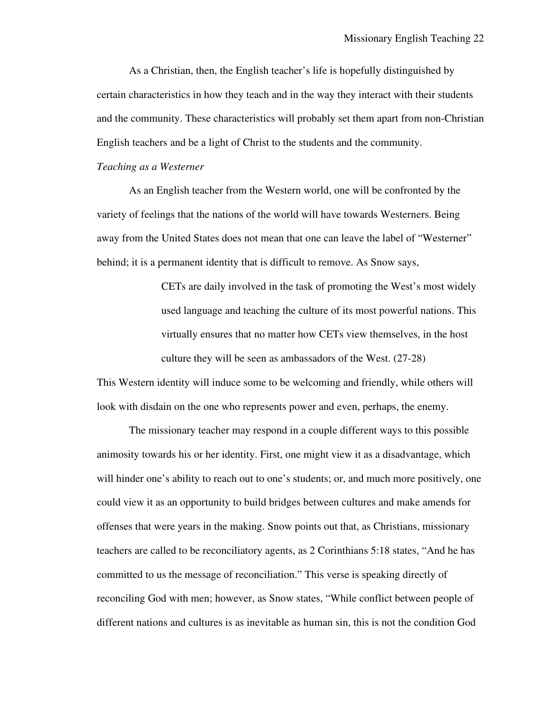As a Christian, then, the English teacher's life is hopefully distinguished by certain characteristics in how they teach and in the way they interact with their students and the community. These characteristics will probably set them apart from non-Christian English teachers and be a light of Christ to the students and the community.

#### *Teaching as a Westerner*

 As an English teacher from the Western world, one will be confronted by the variety of feelings that the nations of the world will have towards Westerners. Being away from the United States does not mean that one can leave the label of "Westerner" behind; it is a permanent identity that is difficult to remove. As Snow says,

> CETs are daily involved in the task of promoting the West's most widely used language and teaching the culture of its most powerful nations. This virtually ensures that no matter how CETs view themselves, in the host culture they will be seen as ambassadors of the West. (27-28)

This Western identity will induce some to be welcoming and friendly, while others will look with disdain on the one who represents power and even, perhaps, the enemy.

 The missionary teacher may respond in a couple different ways to this possible animosity towards his or her identity. First, one might view it as a disadvantage, which will hinder one's ability to reach out to one's students; or, and much more positively, one could view it as an opportunity to build bridges between cultures and make amends for offenses that were years in the making. Snow points out that, as Christians, missionary teachers are called to be reconciliatory agents, as 2 Corinthians 5:18 states, "And he has committed to us the message of reconciliation." This verse is speaking directly of reconciling God with men; however, as Snow states, "While conflict between people of different nations and cultures is as inevitable as human sin, this is not the condition God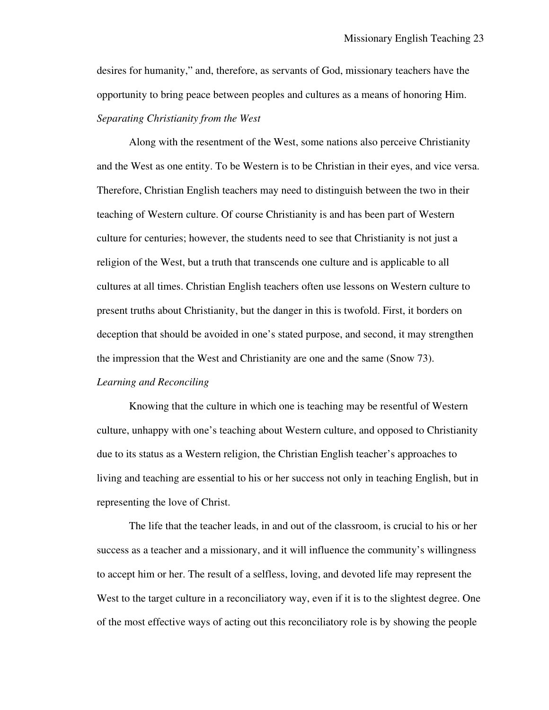desires for humanity," and, therefore, as servants of God, missionary teachers have the opportunity to bring peace between peoples and cultures as a means of honoring Him. *Separating Christianity from the West*

 Along with the resentment of the West, some nations also perceive Christianity and the West as one entity. To be Western is to be Christian in their eyes, and vice versa. Therefore, Christian English teachers may need to distinguish between the two in their teaching of Western culture. Of course Christianity is and has been part of Western culture for centuries; however, the students need to see that Christianity is not just a religion of the West, but a truth that transcends one culture and is applicable to all cultures at all times. Christian English teachers often use lessons on Western culture to present truths about Christianity, but the danger in this is twofold. First, it borders on deception that should be avoided in one's stated purpose, and second, it may strengthen the impression that the West and Christianity are one and the same (Snow 73).

## *Learning and Reconciling*

 Knowing that the culture in which one is teaching may be resentful of Western culture, unhappy with one's teaching about Western culture, and opposed to Christianity due to its status as a Western religion, the Christian English teacher's approaches to living and teaching are essential to his or her success not only in teaching English, but in representing the love of Christ.

 The life that the teacher leads, in and out of the classroom, is crucial to his or her success as a teacher and a missionary, and it will influence the community's willingness to accept him or her. The result of a selfless, loving, and devoted life may represent the West to the target culture in a reconciliatory way, even if it is to the slightest degree. One of the most effective ways of acting out this reconciliatory role is by showing the people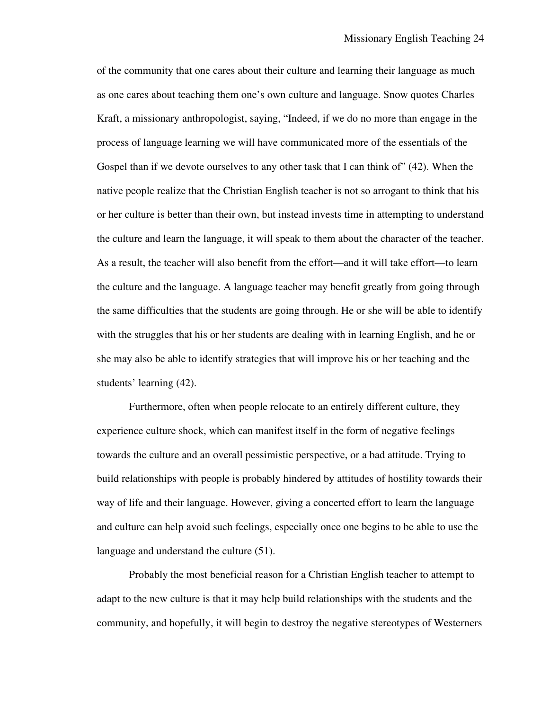of the community that one cares about their culture and learning their language as much as one cares about teaching them one's own culture and language. Snow quotes Charles Kraft, a missionary anthropologist, saying, "Indeed, if we do no more than engage in the process of language learning we will have communicated more of the essentials of the Gospel than if we devote ourselves to any other task that I can think of" (42). When the native people realize that the Christian English teacher is not so arrogant to think that his or her culture is better than their own, but instead invests time in attempting to understand the culture and learn the language, it will speak to them about the character of the teacher. As a result, the teacher will also benefit from the effort—and it will take effort—to learn the culture and the language. A language teacher may benefit greatly from going through the same difficulties that the students are going through. He or she will be able to identify with the struggles that his or her students are dealing with in learning English, and he or she may also be able to identify strategies that will improve his or her teaching and the students' learning (42).

 Furthermore, often when people relocate to an entirely different culture, they experience culture shock, which can manifest itself in the form of negative feelings towards the culture and an overall pessimistic perspective, or a bad attitude. Trying to build relationships with people is probably hindered by attitudes of hostility towards their way of life and their language. However, giving a concerted effort to learn the language and culture can help avoid such feelings, especially once one begins to be able to use the language and understand the culture (51).

 Probably the most beneficial reason for a Christian English teacher to attempt to adapt to the new culture is that it may help build relationships with the students and the community, and hopefully, it will begin to destroy the negative stereotypes of Westerners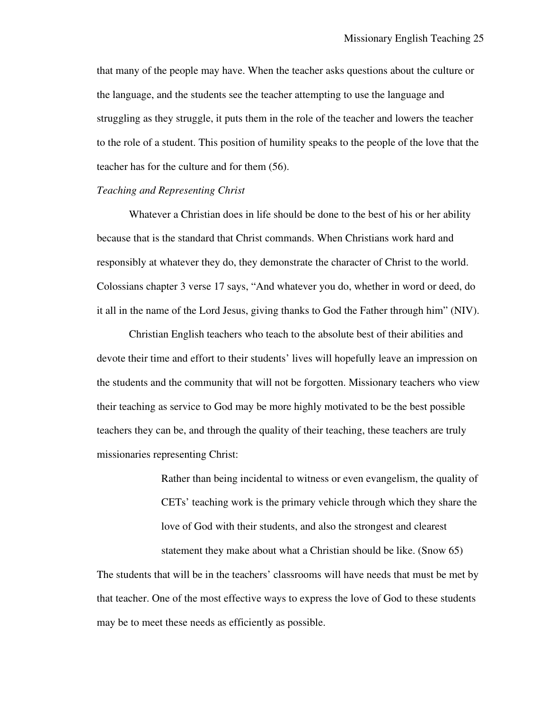that many of the people may have. When the teacher asks questions about the culture or the language, and the students see the teacher attempting to use the language and struggling as they struggle, it puts them in the role of the teacher and lowers the teacher to the role of a student. This position of humility speaks to the people of the love that the teacher has for the culture and for them (56).

#### *Teaching and Representing Christ*

 Whatever a Christian does in life should be done to the best of his or her ability because that is the standard that Christ commands. When Christians work hard and responsibly at whatever they do, they demonstrate the character of Christ to the world. Colossians chapter 3 verse 17 says, "And whatever you do, whether in word or deed, do it all in the name of the Lord Jesus, giving thanks to God the Father through him" (NIV).

 Christian English teachers who teach to the absolute best of their abilities and devote their time and effort to their students' lives will hopefully leave an impression on the students and the community that will not be forgotten. Missionary teachers who view their teaching as service to God may be more highly motivated to be the best possible teachers they can be, and through the quality of their teaching, these teachers are truly missionaries representing Christ:

> Rather than being incidental to witness or even evangelism, the quality of CETs' teaching work is the primary vehicle through which they share the love of God with their students, and also the strongest and clearest statement they make about what a Christian should be like. (Snow 65)

The students that will be in the teachers' classrooms will have needs that must be met by that teacher. One of the most effective ways to express the love of God to these students may be to meet these needs as efficiently as possible.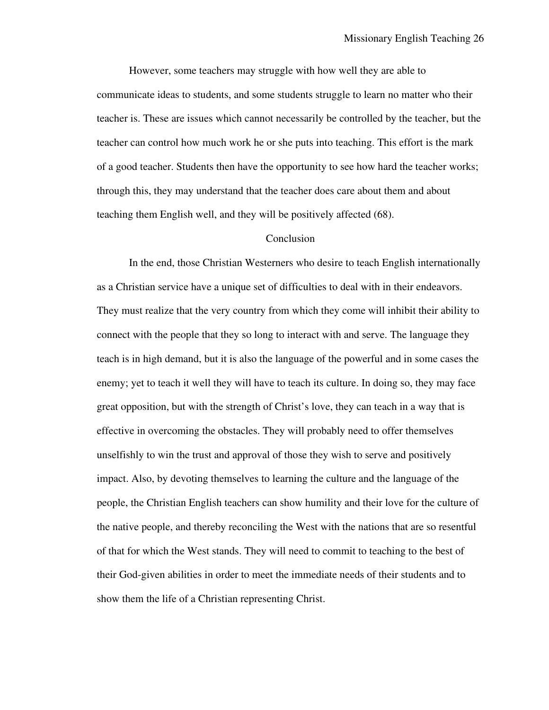However, some teachers may struggle with how well they are able to communicate ideas to students, and some students struggle to learn no matter who their teacher is. These are issues which cannot necessarily be controlled by the teacher, but the teacher can control how much work he or she puts into teaching. This effort is the mark of a good teacher. Students then have the opportunity to see how hard the teacher works; through this, they may understand that the teacher does care about them and about teaching them English well, and they will be positively affected (68).

### Conclusion

In the end, those Christian Westerners who desire to teach English internationally as a Christian service have a unique set of difficulties to deal with in their endeavors. They must realize that the very country from which they come will inhibit their ability to connect with the people that they so long to interact with and serve. The language they teach is in high demand, but it is also the language of the powerful and in some cases the enemy; yet to teach it well they will have to teach its culture. In doing so, they may face great opposition, but with the strength of Christ's love, they can teach in a way that is effective in overcoming the obstacles. They will probably need to offer themselves unselfishly to win the trust and approval of those they wish to serve and positively impact. Also, by devoting themselves to learning the culture and the language of the people, the Christian English teachers can show humility and their love for the culture of the native people, and thereby reconciling the West with the nations that are so resentful of that for which the West stands. They will need to commit to teaching to the best of their God-given abilities in order to meet the immediate needs of their students and to show them the life of a Christian representing Christ.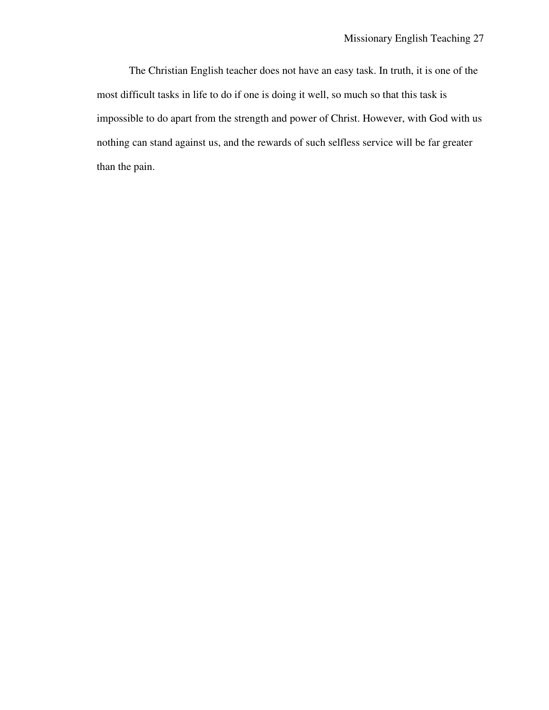The Christian English teacher does not have an easy task. In truth, it is one of the most difficult tasks in life to do if one is doing it well, so much so that this task is impossible to do apart from the strength and power of Christ. However, with God with us nothing can stand against us, and the rewards of such selfless service will be far greater than the pain.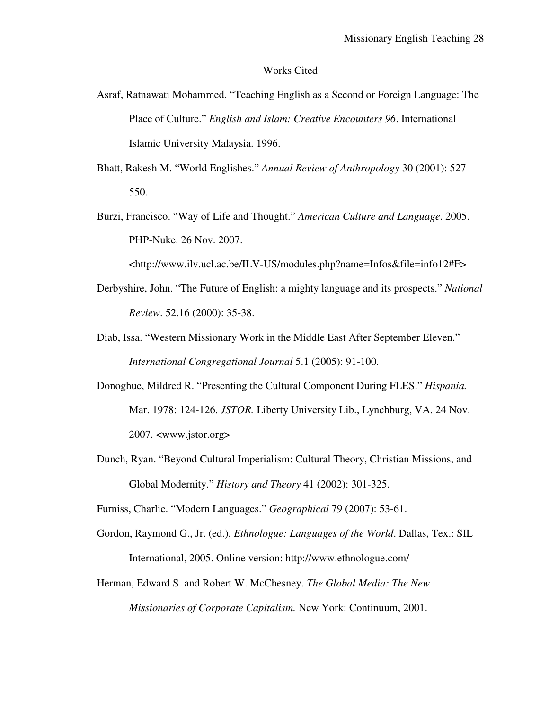### Works Cited

- Asraf, Ratnawati Mohammed. "Teaching English as a Second or Foreign Language: The Place of Culture." *English and Islam: Creative Encounters 96*. International Islamic University Malaysia. 1996.
- Bhatt, Rakesh M. "World Englishes." *Annual Review of Anthropology* 30 (2001): 527- 550.
- Burzi, Francisco. "Way of Life and Thought." *American Culture and Language*. 2005. PHP-Nuke. 26 Nov. 2007.

<http://www.ilv.ucl.ac.be/ILV-US/modules.php?name=Infos&file=info12#F>

- Derbyshire, John. "The Future of English: a mighty language and its prospects." *National Review*. 52.16 (2000): 35-38.
- Diab, Issa. "Western Missionary Work in the Middle East After September Eleven." *International Congregational Journal* 5.1 (2005): 91-100.
- Donoghue, Mildred R. "Presenting the Cultural Component During FLES." *Hispania.*  Mar. 1978: 124-126. *JSTOR.* Liberty University Lib., Lynchburg, VA. 24 Nov. 2007. <www.jstor.org>
- Dunch, Ryan. "Beyond Cultural Imperialism: Cultural Theory, Christian Missions, and Global Modernity." *History and Theory* 41 (2002): 301-325.

Furniss, Charlie. "Modern Languages." *Geographical* 79 (2007): 53-61.

- Gordon, Raymond G., Jr. (ed.), *Ethnologue: Languages of the World*. Dallas, Tex.: SIL International, 2005. Online version: http://www.ethnologue.com/
- Herman, Edward S. and Robert W. McChesney. *The Global Media: The New Missionaries of Corporate Capitalism.* New York: Continuum, 2001.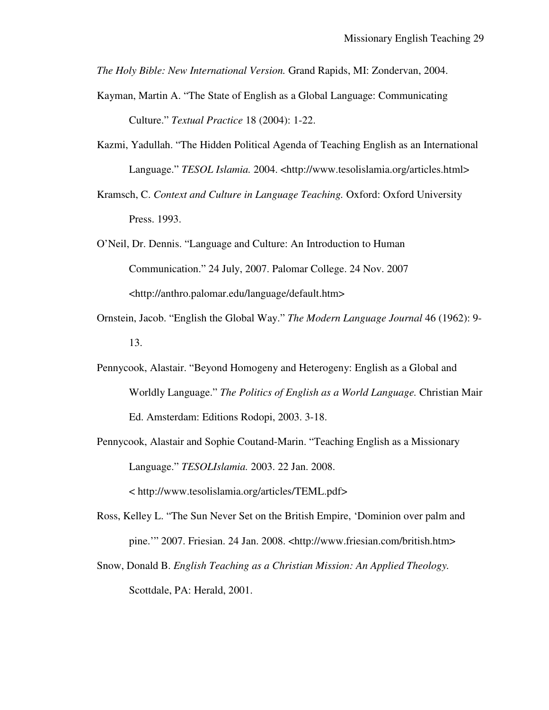*The Holy Bible: New International Version.* Grand Rapids, MI: Zondervan, 2004.

- Kayman, Martin A. "The State of English as a Global Language: Communicating Culture." *Textual Practice* 18 (2004): 1-22.
- Kazmi, Yadullah. "The Hidden Political Agenda of Teaching English as an International Language." *TESOL Islamia.* 2004. <http://www.tesolislamia.org/articles.html>
- Kramsch, C. *Context and Culture in Language Teaching.* Oxford: Oxford University Press. 1993.
- O'Neil, Dr. Dennis. "Language and Culture: An Introduction to Human Communication." 24 July, 2007. Palomar College. 24 Nov. 2007 <http://anthro.palomar.edu/language/default.htm>
- Ornstein, Jacob. "English the Global Way." *The Modern Language Journal* 46 (1962): 9- 13.
- Pennycook, Alastair. "Beyond Homogeny and Heterogeny: English as a Global and Worldly Language." *The Politics of English as a World Language.* Christian Mair Ed. Amsterdam: Editions Rodopi, 2003. 3-18.
- Pennycook, Alastair and Sophie Coutand-Marin. "Teaching English as a Missionary Language." *TESOLIslamia.* 2003. 22 Jan. 2008. < http://www.tesolislamia.org/articles/TEML.pdf>
- Ross, Kelley L. "The Sun Never Set on the British Empire, 'Dominion over palm and pine.'" 2007. Friesian. 24 Jan. 2008. <http://www.friesian.com/british.htm>
- Snow, Donald B. *English Teaching as a Christian Mission: An Applied Theology.*  Scottdale, PA: Herald, 2001.